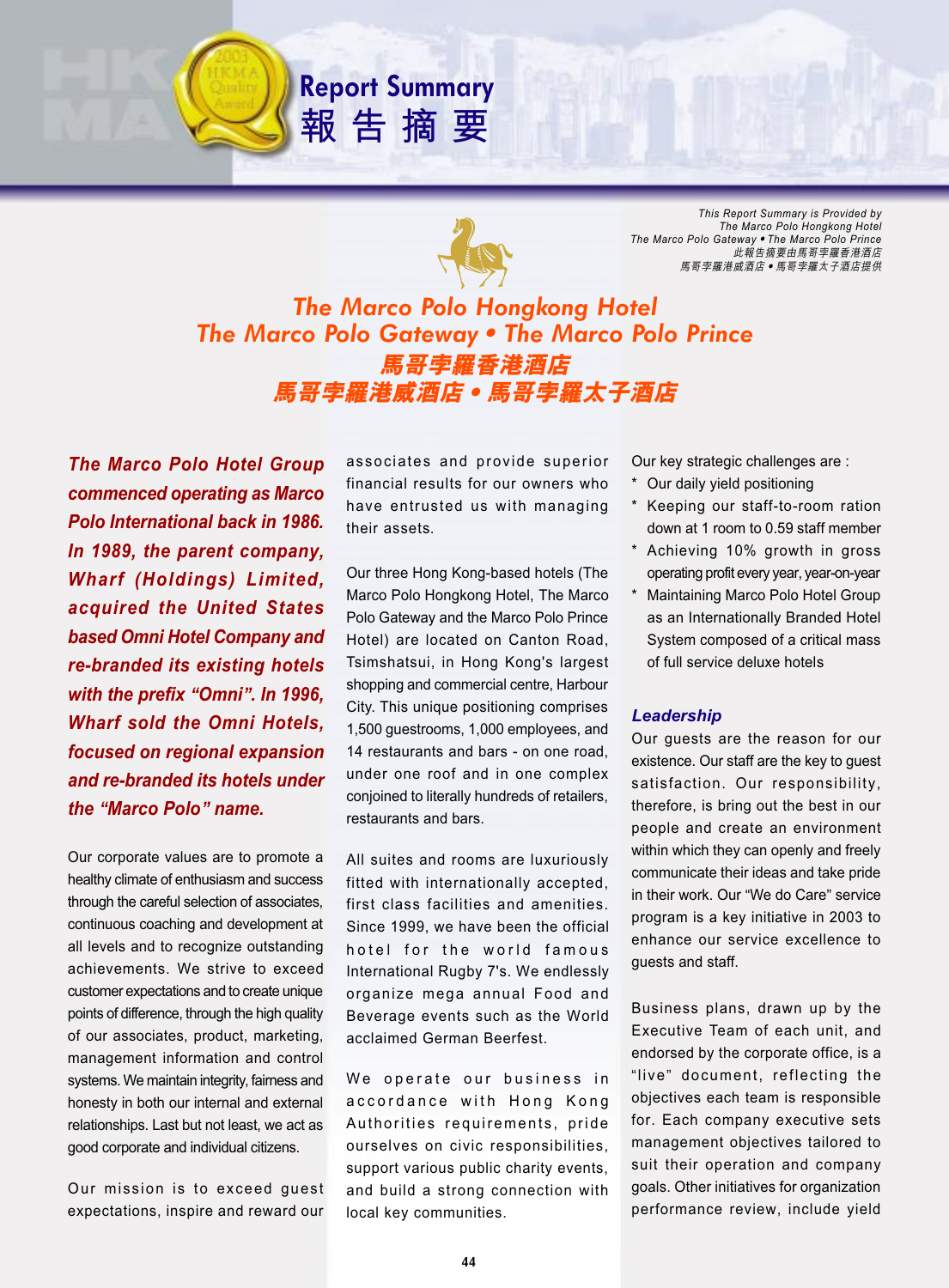

**Report Summary**

報告摘要

*This Report Summary is Provided by The Marco Polo Hongkong Hotel The Marco Polo GatewayThe Marco Polo Prince* 此報告摘要由馬哥孛羅香港酒店 馬哥孛羅港威酒店 • 馬哥孛羅太子酒店提供

# *The Marco Polo Hongkong Hotel The Marco Polo GatewayThe Marco Polo Prince* 馬哥孛羅香港酒店 馬哥孛羅港威酒店 • 馬哥孛羅太子酒店

*The Marco Polo Hotel Group commenced operating as Marco Polo International back in 1986. In 1989, the parent company, Wharf (Holdings) Limited, acquired the United States based Omni Hotel Company and re-branded its existing hotels with the prefix* **"***Omni***"***. In 1996, Wharf sold the Omni Hotels, focused on regional expansion and re-branded its hotels under the* **"***Marco Polo***"** *name.*

Our corporate values are to promote a healthy climate of enthusiasm and success through the careful selection of associates, continuous coaching and development at all levels and to recognize outstanding achievements. We strive to exceed customer expectations and to create unique points of difference, through the high quality of our associates, product, marketing, management information and control systems. We maintain integrity, fairness and honesty in both our internal and external relationships. Last but not least, we act as good corporate and individual citizens.

Our mission is to exceed guest expectations, inspire and reward our associates and provide superior financial results for our owners who have entrusted us with managing their assets.

Our three Hong Kong-based hotels (The Marco Polo Hongkong Hotel, The Marco Polo Gateway and the Marco Polo Prince Hotel) are located on Canton Road, Tsimshatsui, in Hong Kong's largest shopping and commercial centre, Harbour City. This unique positioning comprises 1,500 guestrooms, 1,000 employees, and 14 restaurants and bars - on one road, under one roof and in one complex conjoined to literally hundreds of retailers, restaurants and bars.

All suites and rooms are luxuriously fitted with internationally accepted, first class facilities and amenities. Since 1999, we have been the official hotel for the world famous International Rugby 7's. We endlessly organize mega annual Food and Beverage events such as the World acclaimed German Beerfest.

We operate our business in accordance with Hong Kong Authorities requirements, pride ourselves on civic responsibilities, support various public charity events, and build a strong connection with local key communities.

Our key strategic challenges are :

- Our daily yield positioning
- Keeping our staff-to-room ration down at 1 room to 0.59 staff member
- Achieving 10% growth in gross operating profit every year, year-on-year
- Maintaining Marco Polo Hotel Group as an Internationally Branded Hotel System composed of a critical mass of full service deluxe hotels

# *Leadership*

Our guests are the reason for our existence. Our staff are the key to guest satisfaction. Our responsibility, therefore, is bring out the best in our people and create an environment within which they can openly and freely communicate their ideas and take pride in their work. Our "We do Care" service program is a key initiative in 2003 to enhance our service excellence to guests and staff.

Business plans, drawn up by the Executive Team of each unit, and endorsed by the corporate office, is a "live" document, reflecting the objectives each team is responsible for. Each company executive sets management objectives tailored to suit their operation and company goals. Other initiatives for organization performance review, include yield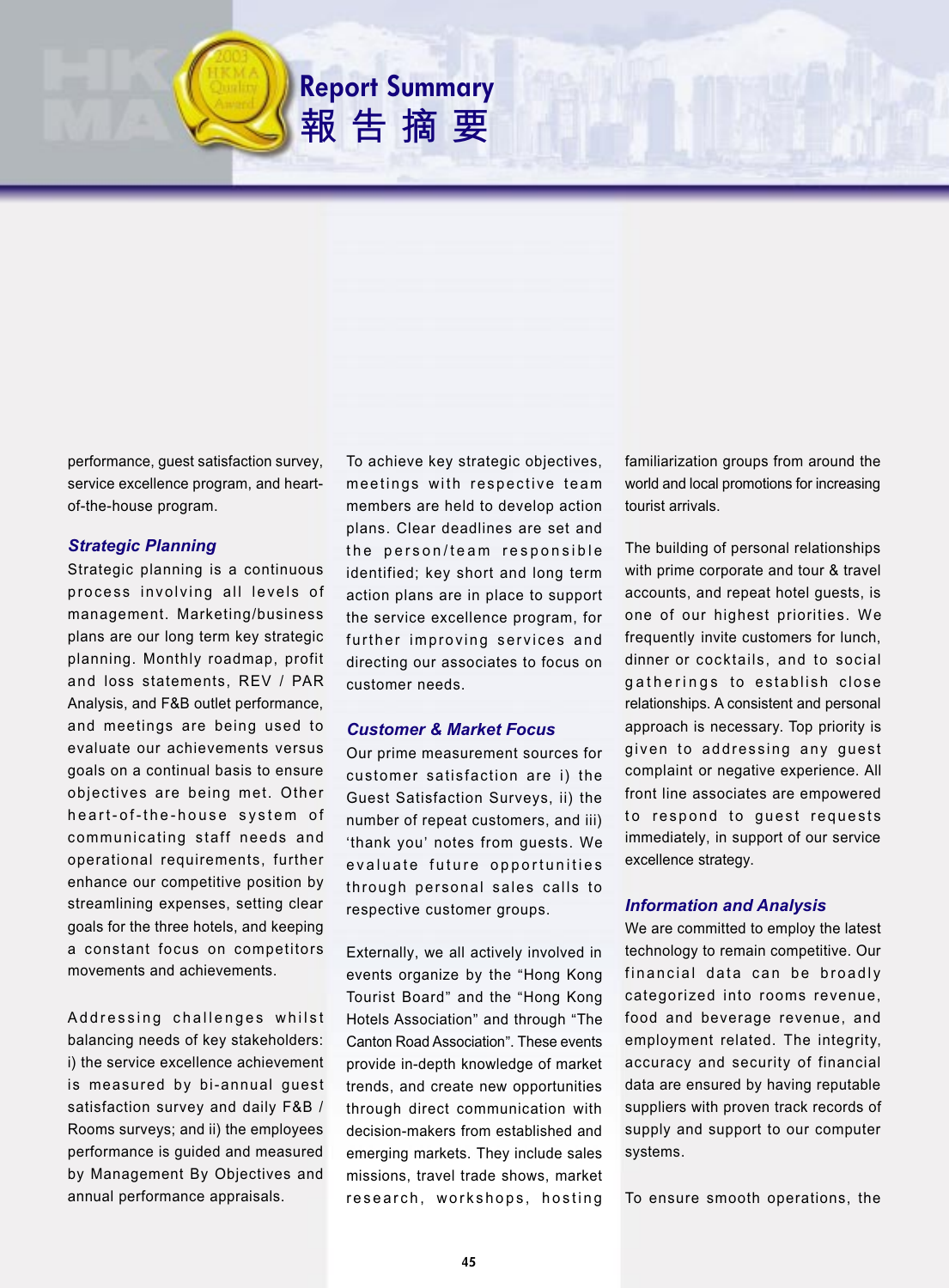performance, guest satisfaction survey, service excellence program, and heartof-the-house program.

#### *Strategic Planning*

Strategic planning is a continuous process involving all levels of management. Marketing/business plans are our long term key strategic planning. Monthly roadmap, profit and loss statements, REV / PAR Analysis, and F&B outlet performance, and meetings are being used to evaluate our achievements versus goals on a continual basis to ensure objectives are being met. Other heart-of-the-house system of communicating staff needs and operational requirements, further enhance our competitive position by streamlining expenses, setting clear goals for the three hotels, and keeping a constant focus on competitors movements and achievements.

Addressing challenges whilst balancing needs of key stakeholders: i) the service excellence achievement is measured by bi-annual guest satisfaction survey and daily F&B / Rooms surveys; and ii) the employees performance is guided and measured by Management By Objectives and annual performance appraisals.

To achieve key strategic objectives, meetings with respective team members are held to develop action plans. Clear deadlines are set and the person/team responsible identified; key short and long term action plans are in place to support the service excellence program, for further improving services and directing our associates to focus on customer needs.

**Report Summary**

報告摘要

#### *Customer & Market Focus*

Our prime measurement sources for customer satisfaction are i) the Guest Satisfaction Surveys, ii) the number of repeat customers, and iii) 'thank you' notes from guests. We evaluate future opportunities through personal sales calls to respective customer groups.

Externally, we all actively involved in events organize by the "Hong Kong Tourist Board" and the "Hong Kong Hotels Association" and through "The Canton Road Association". These events provide in-depth knowledge of market trends, and create new opportunities through direct communication with decision-makers from established and emerging markets. They include sales missions, travel trade shows, market research, workshops, hosting

familiarization groups from around the world and local promotions for increasing tourist arrivals.

The building of personal relationships with prime corporate and tour & travel accounts, and repeat hotel guests, is one of our highest priorities. We frequently invite customers for lunch, dinner or cocktails, and to social gatherings to establish close relationships. A consistent and personal approach is necessary. Top priority is given to addressing any guest complaint or negative experience. All front line associates are empowered to respond to guest requests immediately, in support of our service excellence strategy.

## *Information and Analysis*

We are committed to employ the latest technology to remain competitive. Our financial data can be broadly categorized into rooms revenue, food and beverage revenue, and employment related. The integrity, accuracy and security of financial data are ensured by having reputable suppliers with proven track records of supply and support to our computer systems.

To ensure smooth operations, the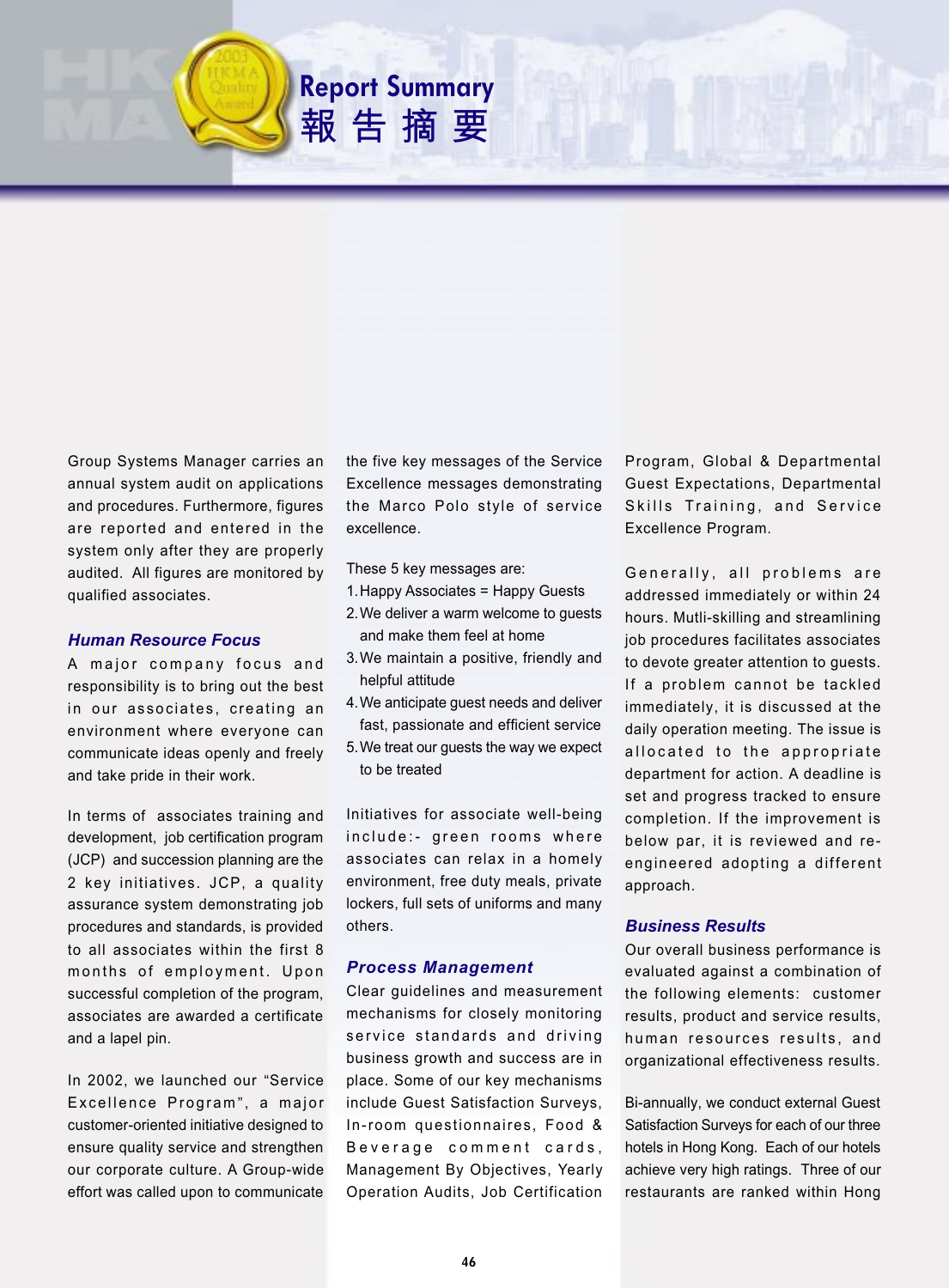Group Systems Manager carries an annual system audit on applications and procedures. Furthermore, figures are reported and entered in the system only after they are properly audited. All figures are monitored by qualified associates.

#### *Human Resource Focus*

A major company focus and responsibility is to bring out the best in our associates, creating an environment where everyone can communicate ideas openly and freely and take pride in their work.

In terms of associates training and development, job certification program (JCP) and succession planning are the 2 key initiatives. JCP, a quality assurance system demonstrating job procedures and standards, is provided to all associates within the first 8 months of employment. Upon successful completion of the program, associates are awarded a certificate and a lapel pin.

In 2002, we launched our "Service Excellence Program ", a major customer-oriented initiative designed to ensure quality service and strengthen our corporate culture. A Group-wide effort was called upon to communicate

the five key messages of the Service Excellence messages demonstrating the Marco Polo style of service excellence.

These 5 key messages are:

**Report Summary**

報告摘要

- 1.Happy Associates = Happy Guests
- 2.We deliver a warm welcome to guests and make them feel at home
- 3.We maintain a positive, friendly and helpful attitude
- 4.We anticipate guest needs and deliver fast, passionate and efficient service
- 5.We treat our guests the way we expect to be treated

Initiatives for associate well-being include:- green rooms where associates can relax in a homely environment, free duty meals, private lockers, full sets of uniforms and many others.

## *Process Management*

Clear guidelines and measurement mechanisms for closely monitoring service standards and driving business growth and success are in place. Some of our key mechanisms include Guest Satisfaction Surveys, In-room questionnaires, Food & Beverage comment cards, Management By Objectives, Yearly Operation Audits, Job Certification Program, Global & Departmental Guest Expectations, Departmental Skills Training, and Service Excellence Program.

Generally, all problems are addressed immediately or within 24 hours. Mutli-skilling and streamlining job procedures facilitates associates to devote greater attention to guests. If a problem cannot be tackled immediately, it is discussed at the daily operation meeting. The issue is allocated to the appropriate department for action. A deadline is set and progress tracked to ensure completion. If the improvement is below par, it is reviewed and reengineered adopting a different approach.

## *Business Results*

Our overall business performance is evaluated against a combination of the following elements: customer results, product and service results, human resources results, and organizational effectiveness results.

Bi-annually, we conduct external Guest Satisfaction Surveys for each of our three hotels in Hong Kong. Each of our hotels achieve very high ratings. Three of our restaurants are ranked within Hong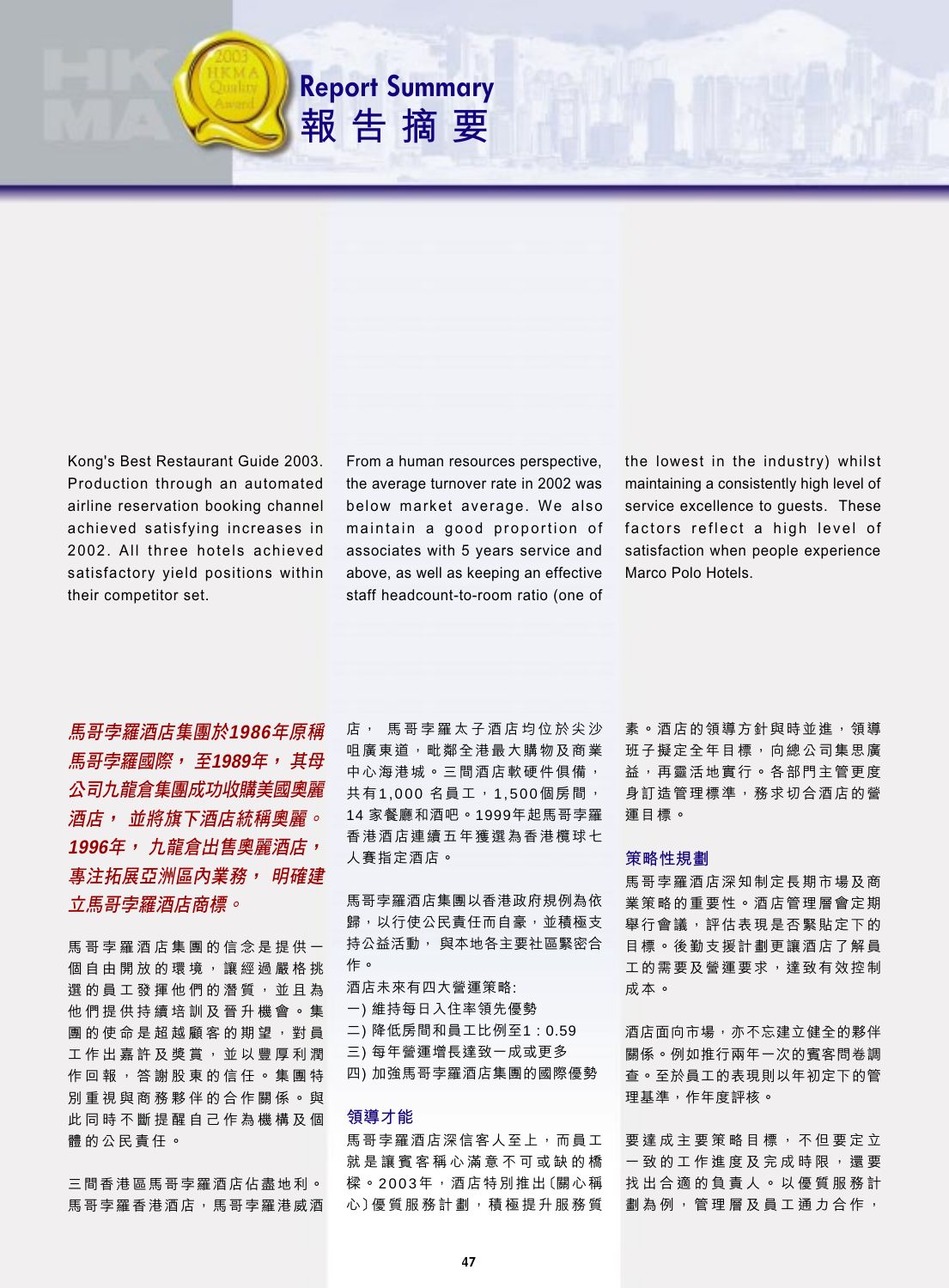

Kong's Best Restaurant Guide 2003. Production through an automated airline reservation booking channel achieved satisfying increases in 2002. All three hotels achieved satisfactory yield positions within their competitor set.

From a human resources perspective, the average turnover rate in 2002 was below market average. We also maintain a good proportion of associates with 5 years service and above, as well as keeping an effective staff headcount-to-room ratio (one of the lowest in the industry) whilst maintaining a consistently high level of service excellence to quests. These factors reflect a high level of satisfaction when people experience Marco Polo Hotels

馬哥孛羅酒店集團於1986年原稱 馬哥孛羅國際,至1989年,其母 公司九龍倉集團成功收購美國奧麗 酒店, 並將旗下酒店統稱奧麗。 1996年,九龍倉出售奧麗酒店, **事注拓展亞洲區內業務, 明確建** 立馬哥孛羅酒店商標。

馬哥孛羅酒店集團的信念是提供一 個自由開放的環境,讓經過嚴格挑 選的員工發揮他們的潛質,並且為 他們提供持續培訓及晉升機會。集 團的使命是超越顧客的期望,對員 工作出嘉許及獎賞,並以豐厚利潤 作回報,答謝股東的信任。集團特 別重視與商務夥伴的合作關係。與 此同時不斷提醒自己作為機構及個 體的公民責任。

三間香港區馬哥孛羅酒店佔盡地利。 馬哥孛羅香港酒店,馬哥孛羅港威酒 店, 馬哥孛羅太子酒店均位於尖沙 咀廣東道,毗鄰全港最大購物及商業 中心海港城。三間酒店軟硬件俱備, 共有1,000 名員工, 1,500個房間, 14 家餐廳和酒吧。1999年起馬哥孛羅 香港酒店連續五年獲選為香港欖球七 人賽指定酒店。

馬哥孛羅酒店集團以香港政府規例為依 歸,以行使公民責任而自豪,並積極支 持公益活動, 與本地各主要社區緊密合 作。

酒店未來有四大營運策略: 一)維持每日入住率領先優勢 二) 降低房間和員工比例至1:0.59 三)每年營運增長達致一成或更多 四)加強馬哥孛羅酒店集團的國際優勢

# 領導才能

馬哥孛羅酒店深信客人至上,而員工 就是讓賓客稱心滿意不可或缺的橋 樑。2003年,酒店特別推出〔關心稱 心〕優質服務計劃,積極提升服務質 素。酒店的領導方針與時並進, 領導 班子擬定全年目標,向總公司集思廣 益,再靈活地實行。各部門主管更度 身訂造管理標準, 務求切合酒店的營 運目標。

#### 策略性規劃

馬哥孛羅酒店深知制定長期市場及商 業策略的重要性。酒店管理層會定期 舉行會議,評估表現是否緊貼定下的 目標。後勤支援計劃更讓酒店了解員 工的需要及營運要求,達致有效控制 成本。

酒店面向市場, 亦不忘建立健全的夥伴 關係。例如推行兩年一次的賓客問卷調 查。至於員工的表現則以年初定下的管 理基準,作年度評核。

要 達 成 主 要 策 略 目 標 , 不 但 要 定 立 一致的工作進度及完成時限,還要 找出合適的負責人。以優質服務計 劃為例,管理層及員工通力合作,